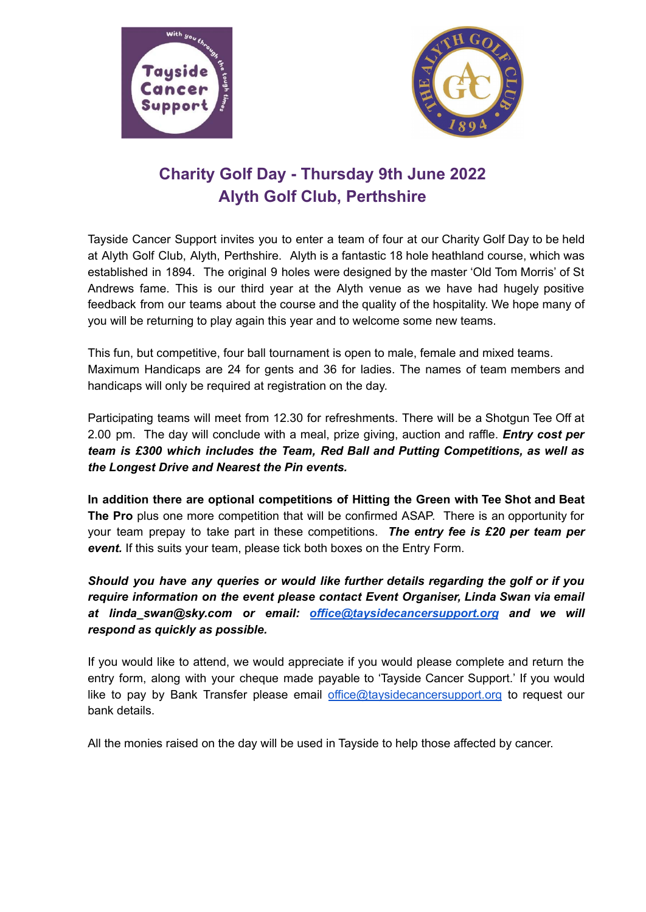



## **Charity Golf Day - Thursday 9th June 2022 Alyth Golf Club, Perthshire**

Tayside Cancer Support invites you to enter a team of four at our Charity Golf Day to be held at Alyth Golf Club, Alyth, Perthshire. Alyth is a fantastic 18 hole heathland course, which was established in 1894. The original 9 holes were designed by the master 'Old Tom Morris' of St Andrews fame. This is our third year at the Alyth venue as we have had hugely positive feedback from our teams about the course and the quality of the hospitality. We hope many of you will be returning to play again this year and to welcome some new teams.

This fun, but competitive, four ball tournament is open to male, female and mixed teams. Maximum Handicaps are 24 for gents and 36 for ladies. The names of team members and handicaps will only be required at registration on the day.

Participating teams will meet from 12.30 for refreshments. There will be a Shotgun Tee Off at 2.00 pm. The day will conclude with a meal, prize giving, auction and raffle. *Entry cost per team is £300 which includes the Team, Red Ball and Putting Competitions, as well as the Longest Drive and Nearest the Pin events.*

**In addition there are optional competitions of Hitting the Green with Tee Shot and Beat The Pro** plus one more competition that will be confirmed ASAP. There is an opportunity for your team prepay to take part in these competitions. *The entry fee is £20 per team per event.* If this suits your team, please tick both boxes on the Entry Form.

*Should you have any queries or would like further details regarding the golf or if you require information on the event please contact Event Organiser, Linda Swan via email at linda\_swan@sky.com or email: [office@taysidecancersupport.org](mailto:office@taysidecancersupport.org) and we will respond as quickly as possible.*

If you would like to attend, we would appreciate if you would please complete and return the entry form, along with your cheque made payable to 'Tayside Cancer Support.' If you would like to pay by Bank Transfer please email [office@taysidecancersupport.org](mailto:office@taysidecancersupport.org) to request our bank details.

All the monies raised on the day will be used in Tayside to help those affected by cancer.